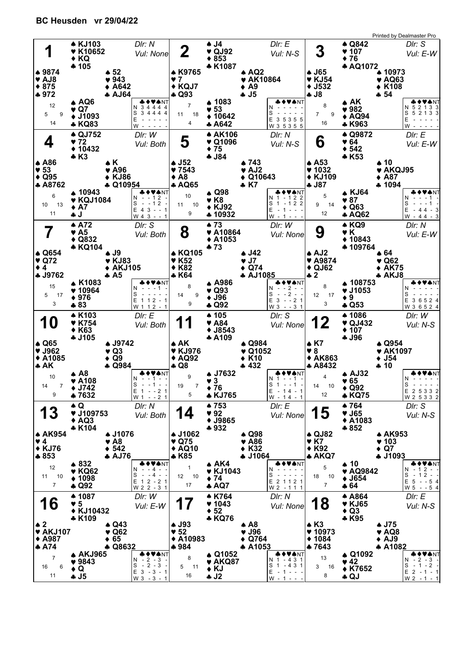